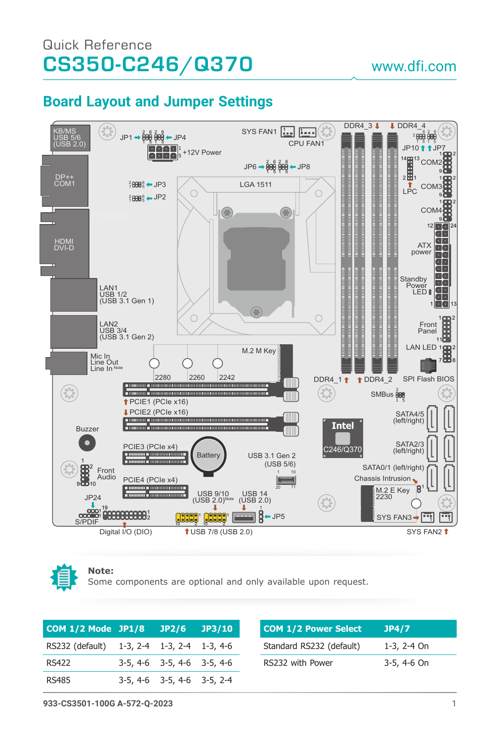# Quick Reference CS350-C246/Q370

## www.dfi.com

# **Board Layout and Jumper Settings**



**Note:**

Some components are optional and only available upon request.

| COM 1/2 Mode JP1/8 JP2/6 JP3/10            |                                  |  | <b>COM 1/2 Power Select</b> | JP4/7       |
|--------------------------------------------|----------------------------------|--|-----------------------------|-------------|
| RS232 (default) 1-3, 2-4 1-3, 2-4 1-3, 4-6 |                                  |  | Standard RS232 (default)    | 1-3, 2-4 On |
| <b>RS422</b>                               | $3-5, 4-6$ $3-5, 4-6$ $3-5, 4-6$ |  | RS232 with Power            | 3-5, 4-6 On |
| <b>RS485</b>                               | $3-5, 4-6$ $3-5, 4-6$ $3-5, 2-4$ |  |                             |             |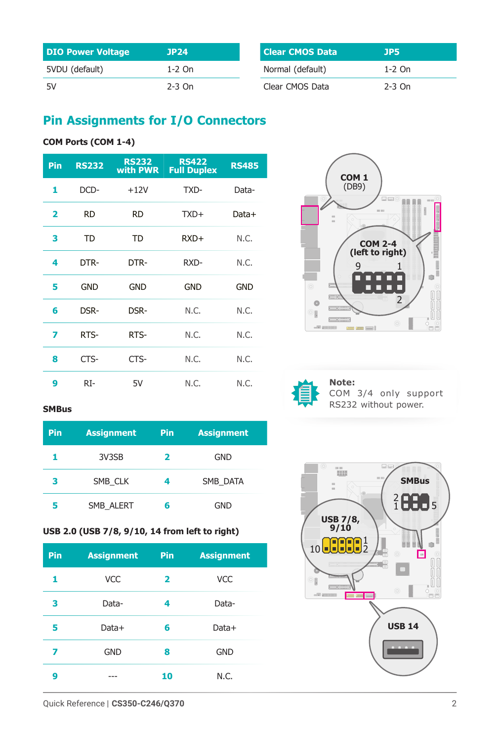| <b>DIO Power Voltage</b> | JP24     |
|--------------------------|----------|
| 5VDU (default)           | $1-2$ On |
| -5V                      | $2-3$ On |

| l Clear CMOS Data | JP5      |
|-------------------|----------|
| Normal (default)  | $1-2$ On |
| Clear CMOS Data   | $2-3$ On |

## **Pin Assignments for I/O Connectors**

#### **COM Ports (COM 1-4)**

| Pin | <b>RS232</b> | <b>RS232</b><br>with PWR | <b>RS422</b><br><b>Full Duplex</b> | <b>RS485</b> |
|-----|--------------|--------------------------|------------------------------------|--------------|
| 1   | DCD-         | $+12V$                   | TXD-                               | Data-        |
| 2   | <b>RD</b>    | <b>RD</b>                | $TXD+$                             | Data+        |
| з   | TD           | TD                       | $RXD+$                             | N.C.         |
| 4   | DTR-         | DTR-                     | RXD-                               | N.C.         |
| 5   | <b>GND</b>   | <b>GND</b>               | <b>GND</b>                         | <b>GND</b>   |
| 6   | DSR-         | DSR-                     | N.C.                               | N.C.         |
| 7   | RTS-         | RTS-                     | N.C.                               | N.C.         |
| 8   | CTS-         | CTS-                     | N.C.                               | N.C.         |
| 9   | RI-          | 5V                       | N.C.                               | N.C.         |





### COM 3/4 only support RS232 without power.



#### **SMBus**

| Pin | <b>Assignment</b> | <b>Pin</b> | <b>Assignment</b> |
|-----|-------------------|------------|-------------------|
|     | 3V3SB             | 2          | GND               |
| з   | SMB CLK           | 4          | SMB DATA          |
| 5   | SMB ALERT         | 6          | GND               |

#### **USB 2.0 (USB 7/8, 9/10, 14 from left to right)**

| Pin | <b>Assignment</b> | Pin | <b>Assignment</b> |
|-----|-------------------|-----|-------------------|
| 1   | <b>VCC</b>        | 2   | <b>VCC</b>        |
| з   | Data-             | 4   | Data-             |
| 5   | Data+             | 6   | Data+             |
| 7   | <b>GND</b>        | 8   | <b>GND</b>        |
| 9   |                   | 10  | N.C.              |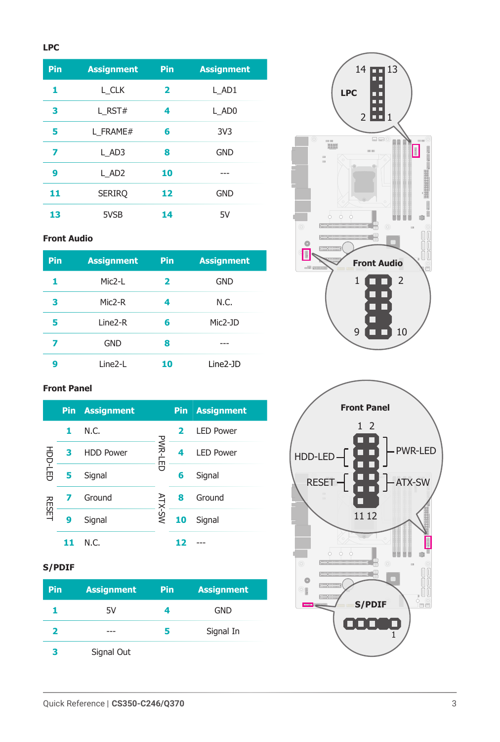**LPC**

| Pin | <b>Assignment</b> | Pin | <b>Assignment</b> |
|-----|-------------------|-----|-------------------|
| 1   | L CLK             | 2   | L AD1             |
| з   | $L$ RST#          | 4   | L AD0             |
| 5   | L FRAME#          | 6   | 3V <sub>3</sub>   |
| 7   | L AD3             | 8   | <b>GND</b>        |
| 9   | L AD <sub>2</sub> | 10  |                   |
| 11  | <b>SERIRO</b>     | 12  | <b>GND</b>        |
| 13  | 5VSB              | 14  | 5V                |

#### **Front Audio**

| Pin | <b>Assignment</b> | Pin | <b>Assignment</b> |
|-----|-------------------|-----|-------------------|
| 1   | Mic2-L            | 2   | <b>GND</b>        |
| з   | Mic2-R            | 4   | N.C.              |
| 5   | $Line2-R$         | 6   | Mic2-JD           |
| 7   | GND               | 8   |                   |
| 9   | Line2-L           | 10  | Line2-JD          |

#### **Front Panel**



#### **S/PDIF**

| <b>Pin</b> | <b>Assignment</b> | <b>Pin</b> | <b>Assignment</b> |
|------------|-------------------|------------|-------------------|
|            | 5V                |            | GND               |
| 7          | ---               | 5          | Signal In         |
|            | Signal Out        |            |                   |